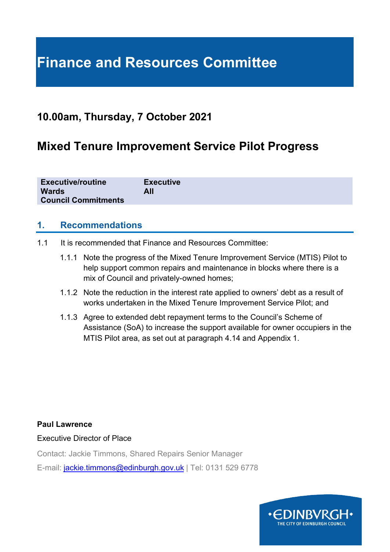# **Finance and Resources Committee**

# **10.00am, Thursday, 7 October 2021**

# **Mixed Tenure Improvement Service Pilot Progress**

| <b>Executive/routine</b>   | <b>Executive</b> |
|----------------------------|------------------|
| <b>Wards</b>               | All              |
| <b>Council Commitments</b> |                  |

### **1. Recommendations**

- 1.1 It is recommended that Finance and Resources Committee:
	- 1.1.1 Note the progress of the Mixed Tenure Improvement Service (MTIS) Pilot to help support common repairs and maintenance in blocks where there is a mix of Council and privately-owned homes;
	- 1.1.2 Note the reduction in the interest rate applied to owners' debt as a result of works undertaken in the Mixed Tenure Improvement Service Pilot; and
	- 1.1.3 Agree to extended debt repayment terms to the Council's Scheme of Assistance (SoA) to increase the support available for owner occupiers in the MTIS Pilot area, as set out at paragraph 4.14 and Appendix 1.

#### **Paul Lawrence**

Executive Director of Place

Contact: Jackie Timmons, Shared Repairs Senior Manager

E-mail: [jackie.timmons@edinburgh.gov.uk](mailto:jackie.timmons@edinburgh.gov.uk) | Tel: 0131 529 6778

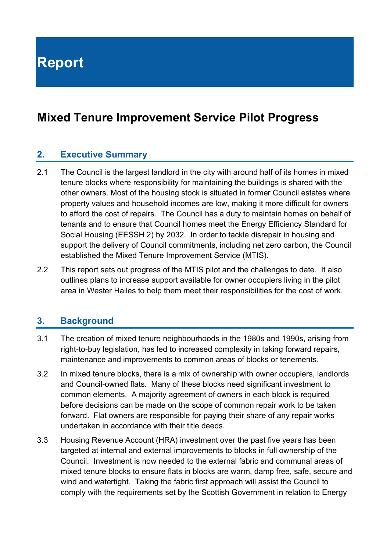**Report**

# **Mixed Tenure Improvement Service Pilot Progress**

#### **2. Executive Summary**

- 2.1 The Council is the largest landlord in the city with around half of its homes in mixed tenure blocks where responsibility for maintaining the buildings is shared with the other owners. Most of the housing stock is situated in former Council estates where property values and household incomes are low, making it more difficult for owners to afford the cost of repairs. The Council has a duty to maintain homes on behalf of tenants and to ensure that Council homes meet the Energy Efficiency Standard for Social Housing (EESSH 2) by 2032. In order to tackle disrepair in housing and support the delivery of Council commitments, including net zero carbon, the Council established the Mixed Tenure Improvement Service (MTIS).
- 2.2 This report sets out progress of the MTIS pilot and the challenges to date. It also outlines plans to increase support available for owner occupiers living in the pilot area in Wester Hailes to help them meet their responsibilities for the cost of work.

#### **3. Background**

- 3.1 The creation of mixed tenure neighbourhoods in the 1980s and 1990s, arising from right-to-buy legislation, has led to increased complexity in taking forward repairs, maintenance and improvements to common areas of blocks or tenements.
- 3.2 In mixed tenure blocks, there is a mix of ownership with owner occupiers, landlords and Council-owned flats. Many of these blocks need significant investment to common elements. A majority agreement of owners in each block is required before decisions can be made on the scope of common repair work to be taken forward. Flat owners are responsible for paying their share of any repair works undertaken in accordance with their title deeds.
- 3.3 Housing Revenue Account (HRA) investment over the past five years has been targeted at internal and external improvements to blocks in full ownership of the Council. Investment is now needed to the external fabric and communal areas of mixed tenure blocks to ensure flats in blocks are warm, damp free, safe, secure and wind and watertight. Taking the fabric first approach will assist the Council to comply with the requirements set by the Scottish Government in relation to Energy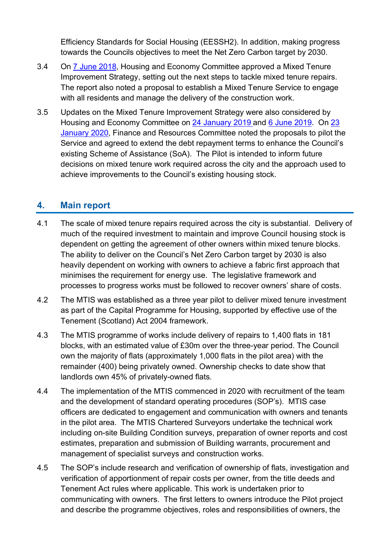Efficiency Standards for Social Housing (EESSH2). In addition, making progress towards the Councils objectives to meet the Net Zero Carbon target by 2030.

- 3.4 On [7 June 2018,](https://democracy.edinburgh.gov.uk/CeListDocuments.aspx?CommitteeId=287&MeetingId=2520&DF=07%2f06%2f2018&Ver=2) Housing and Economy Committee approved a Mixed Tenure Improvement Strategy, setting out the next steps to tackle mixed tenure repairs. The report also noted a proposal to establish a Mixed Tenure Service to engage with all residents and manage the delivery of the construction work.
- 3.5 Updates on the Mixed Tenure Improvement Strategy were also considered by Housing and Economy Committee on [24 January 2019 a](https://democracy.edinburgh.gov.uk/CeListDocuments.aspx?CommitteeId=287&MeetingId=4953&DF=24%2f01%2f2019&Ver=2)nd [6 June 2019.](https://democracy.edinburgh.gov.uk/CeListDocuments.aspx?CommitteeId=287&MeetingId=4955&DF=06%2f06%2f2019&Ver=2) On [23](https://democracy.edinburgh.gov.uk/ieListDocuments.aspx?CId=140&MId=348&Ver=4)  [January 2020,](https://democracy.edinburgh.gov.uk/ieListDocuments.aspx?CId=140&MId=348&Ver=4) Finance and Resources Committee noted the proposals to pilot the Service and agreed to extend the debt repayment terms to enhance the Council's existing Scheme of Assistance (SoA). The Pilot is intended to inform future decisions on mixed tenure work required across the city and the approach used to achieve improvements to the Council's existing housing stock.

## **4. Main report**

- 4.1 The scale of mixed tenure repairs required across the city is substantial. Delivery of much of the required investment to maintain and improve Council housing stock is dependent on getting the agreement of other owners within mixed tenure blocks. The ability to deliver on the Council's Net Zero Carbon target by 2030 is also heavily dependent on working with owners to achieve a fabric first approach that minimises the requirement for energy use. The legislative framework and processes to progress works must be followed to recover owners' share of costs.
- 4.2 The MTIS was established as a three year pilot to deliver mixed tenure investment as part of the Capital Programme for Housing, supported by effective use of the Tenement (Scotland) Act 2004 framework.
- 4.3 The MTIS programme of works include delivery of repairs to 1,400 flats in 181 blocks, with an estimated value of £30m over the three-year period. The Council own the majority of flats (approximately 1,000 flats in the pilot area) with the remainder (400) being privately owned. Ownership checks to date show that landlords own 45% of privately-owned flats.
- 4.4 The implementation of the MTIS commenced in 2020 with recruitment of the team and the development of standard operating procedures (SOP's). MTIS case officers are dedicated to engagement and communication with owners and tenants in the pilot area. The MTIS Chartered Surveyors undertake the technical work including on-site Building Condition surveys, preparation of owner reports and cost estimates, preparation and submission of Building warrants, procurement and management of specialist surveys and construction works.
- 4.5 The SOP's include research and verification of ownership of flats, investigation and verification of apportionment of repair costs per owner, from the title deeds and Tenement Act rules where applicable. This work is undertaken prior to communicating with owners. The first letters to owners introduce the Pilot project and describe the programme objectives, roles and responsibilities of owners, the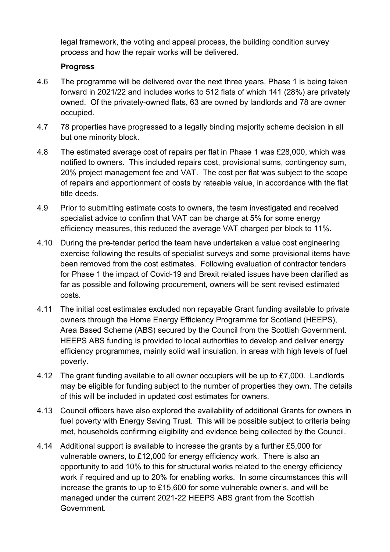legal framework, the voting and appeal process, the building condition survey process and how the repair works will be delivered.

#### **Progress**

- 4.6 The programme will be delivered over the next three years. Phase 1 is being taken forward in 2021/22 and includes works to 512 flats of which 141 (28%) are privately owned. Of the privately-owned flats, 63 are owned by landlords and 78 are owner occupied.
- 4.7 78 properties have progressed to a legally binding majority scheme decision in all but one minority block.
- 4.8 The estimated average cost of repairs per flat in Phase 1 was £28,000, which was notified to owners. This included repairs cost, provisional sums, contingency sum, 20% project management fee and VAT. The cost per flat was subject to the scope of repairs and apportionment of costs by rateable value, in accordance with the flat title deeds.
- 4.9 Prior to submitting estimate costs to owners, the team investigated and received specialist advice to confirm that VAT can be charge at 5% for some energy efficiency measures, this reduced the average VAT charged per block to 11%.
- 4.10 During the pre-tender period the team have undertaken a value cost engineering exercise following the results of specialist surveys and some provisional items have been removed from the cost estimates. Following evaluation of contractor tenders for Phase 1 the impact of Covid-19 and Brexit related issues have been clarified as far as possible and following procurement, owners will be sent revised estimated costs.
- 4.11 The initial cost estimates excluded non repayable Grant funding available to private owners through the Home Energy Efficiency Programme for Scotland (HEEPS), Area Based Scheme (ABS) secured by the Council from the Scottish Government. HEEPS ABS funding is provided to local authorities to develop and deliver energy efficiency programmes, mainly solid wall insulation, in areas with high levels of fuel poverty.
- 4.12 The grant funding available to all owner occupiers will be up to £7,000. Landlords may be eligible for funding subject to the number of properties they own. The details of this will be included in updated cost estimates for owners.
- 4.13 Council officers have also explored the availability of additional Grants for owners in fuel poverty with Energy Saving Trust. This will be possible subject to criteria being met, households confirming eligibility and evidence being collected by the Council.
- 4.14 Additional support is available to increase the grants by a further £5,000 for vulnerable owners, to £12,000 for energy efficiency work. There is also an opportunity to add 10% to this for structural works related to the energy efficiency work if required and up to 20% for enabling works. In some circumstances this will increase the grants to up to £15,600 for some vulnerable owner's, and will be managed under the current 2021-22 HEEPS ABS grant from the Scottish Government.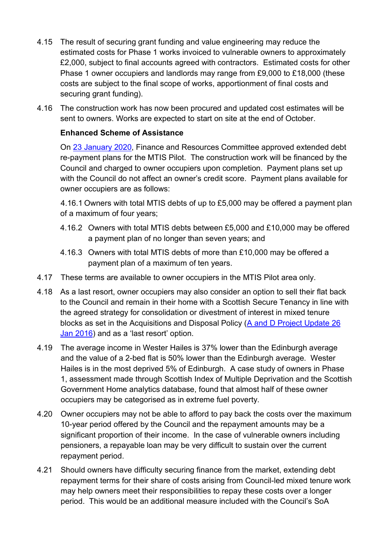- 4.15 The result of securing grant funding and value engineering may reduce the estimated costs for Phase 1 works invoiced to vulnerable owners to approximately £2,000, subject to final accounts agreed with contractors. Estimated costs for other Phase 1 owner occupiers and landlords may range from £9,000 to £18,000 (these costs are subject to the final scope of works, apportionment of final costs and securing grant funding).
- 4.16 The construction work has now been procured and updated cost estimates will be sent to owners. Works are expected to start on site at the end of October.

#### **Enhanced Scheme of Assistance**

On [23 January 2020,](https://democracy.edinburgh.gov.uk/ieListDocuments.aspx?CId=140&MId=348&Ver=4) Finance and Resources Committee approved extended debt re-payment plans for the MTIS Pilot. The construction work will be financed by the Council and charged to owner occupiers upon completion. Payment plans set up with the Council do not affect an owner's credit score. Payment plans available for owner occupiers are as follows:

4.16.1 Owners with total MTIS debts of up to £5,000 may be offered a payment plan of a maximum of four years;

- 4.16.2 Owners with total MTIS debts between £5,000 and £10,000 may be offered a payment plan of no longer than seven years; and
- 4.16.3 Owners with total MTIS debts of more than £10,000 may be offered a payment plan of a maximum of ten years.
- 4.17 These terms are available to owner occupiers in the MTIS Pilot area only.
- 4.18 As a last resort, owner occupiers may also consider an option to sell their flat back to the Council and remain in their home with a Scottish Secure Tenancy in line with the agreed strategy for consolidation or divestment of interest in mixed tenure blocks as set in the Acquisitions and Disposal Policy (A [and D Project Update 26](https://democracy.edinburgh.gov.uk/CeListDocuments.aspx?CommitteeId=286&MeetingId=2509&DF=26%2f01%2f2016&Ver=2)  [Jan 2016\)](https://democracy.edinburgh.gov.uk/CeListDocuments.aspx?CommitteeId=286&MeetingId=2509&DF=26%2f01%2f2016&Ver=2) and as a 'last resort' option.
- 4.19 The average income in Wester Hailes is 37% lower than the Edinburgh average and the value of a 2-bed flat is 50% lower than the Edinburgh average. Wester Hailes is in the most deprived 5% of Edinburgh. A case study of owners in Phase 1, assessment made through Scottish Index of Multiple Deprivation and the Scottish Government Home analytics database, found that almost half of these owner occupiers may be categorised as in extreme fuel poverty.
- 4.20 Owner occupiers may not be able to afford to pay back the costs over the maximum 10-year period offered by the Council and the repayment amounts may be a significant proportion of their income. In the case of vulnerable owners including pensioners, a repayable loan may be very difficult to sustain over the current repayment period.
- 4.21 Should owners have difficulty securing finance from the market, extending debt repayment terms for their share of costs arising from Council-led mixed tenure work may help owners meet their responsibilities to repay these costs over a longer period. This would be an additional measure included with the Council's SoA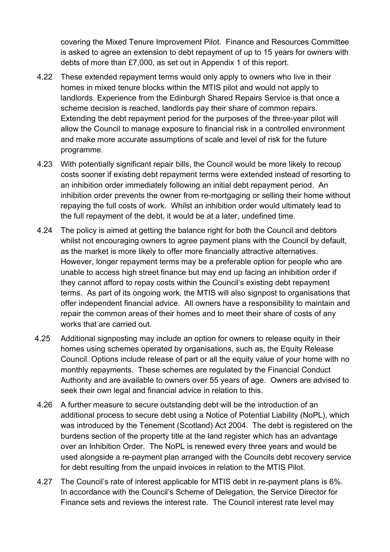covering the Mixed Tenure Improvement Pilot. Finance and Resources Committee is asked to agree an extension to debt repayment of up to 15 years for owners with debts of more than £7,000, as set out in Appendix 1 of this report.

- 4.22 These extended repayment terms would only apply to owners who live in their homes in mixed tenure blocks within the MTIS pilot and would not apply to landlords. Experience from the Edinburgh Shared Repairs Service is that once a scheme decision is reached, landlords pay their share of common repairs. Extending the debt repayment period for the purposes of the three-year pilot will allow the Council to manage exposure to financial risk in a controlled environment and make more accurate assumptions of scale and level of risk for the future programme.
- 4.23 With potentially significant repair bills, the Council would be more likely to recoup costs sooner if existing debt repayment terms were extended instead of resorting to an inhibition order immediately following an initial debt repayment period. An inhibition order prevents the owner from re-mortgaging or selling their home without repaying the full costs of work. Whilst an inhibition order would ultimately lead to the full repayment of the debt, it would be at a later, undefined time.
- 4.24 The policy is aimed at getting the balance right for both the Council and debtors whilst not encouraging owners to agree payment plans with the Council by default, as the market is more likely to offer more financially attractive alternatives. However, longer repayment terms may be a preferable option for people who are unable to access high street finance but may end up facing an inhibition order if they cannot afford to repay costs within the Council's existing debt repayment terms. As part of its ongoing work, the MTIS will also signpost to organisations that offer independent financial advice. All owners have a responsibility to maintain and repair the common areas of their homes and to meet their share of costs of any works that are carried out.
- 4.25 Additional signposting may include an option for owners to release equity in their homes using schemes operated by organisations, such as, the Equity Release Council. Options include release of part or all the equity value of your home with no monthly repayments. These schemes are regulated by the Financial Conduct Authority and are available to owners over 55 years of age. Owners are advised to seek their own legal and financial advice in relation to this.
- 4.26 A further measure to secure outstanding debt will be the introduction of an additional process to secure debt using a Notice of Potential Liability (NoPL), which was introduced by the Tenement (Scotland) Act 2004. The debt is registered on the burdens section of the property title at the land register which has an advantage over an Inhibition Order. The NoPL is renewed every three years and would be used alongside a re-payment plan arranged with the Councils debt recovery service for debt resulting from the unpaid invoices in relation to the MTIS Pilot.
- 4.27 The Council's rate of interest applicable for MTIS debt in re-payment plans is 6%. In accordance with the Council's Scheme of Delegation, the Service Director for Finance sets and reviews the interest rate. The Council interest rate level may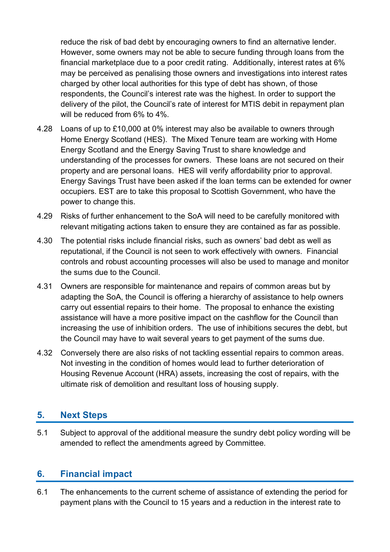reduce the risk of bad debt by encouraging owners to find an alternative lender. However, some owners may not be able to secure funding through loans from the financial marketplace due to a poor credit rating. Additionally, interest rates at 6% may be perceived as penalising those owners and investigations into interest rates charged by other local authorities for this type of debt has shown, of those respondents, the Council's interest rate was the highest. In order to support the delivery of the pilot, the Council's rate of interest for MTIS debit in repayment plan will be reduced from 6% to 4%.

- 4.28 Loans of up to £10,000 at 0% interest may also be available to owners through Home Energy Scotland (HES). The Mixed Tenure team are working with Home Energy Scotland and the Energy Saving Trust to share knowledge and understanding of the processes for owners. These loans are not secured on their property and are personal loans. HES will verify affordability prior to approval. Energy Savings Trust have been asked if the loan terms can be extended for owner occupiers. EST are to take this proposal to Scottish Government, who have the power to change this.
- 4.29 Risks of further enhancement to the SoA will need to be carefully monitored with relevant mitigating actions taken to ensure they are contained as far as possible.
- 4.30 The potential risks include financial risks, such as owners' bad debt as well as reputational, if the Council is not seen to work effectively with owners. Financial controls and robust accounting processes will also be used to manage and monitor the sums due to the Council.
- 4.31 Owners are responsible for maintenance and repairs of common areas but by adapting the SoA, the Council is offering a hierarchy of assistance to help owners carry out essential repairs to their home. The proposal to enhance the existing assistance will have a more positive impact on the cashflow for the Council than increasing the use of inhibition orders. The use of inhibitions secures the debt, but the Council may have to wait several years to get payment of the sums due.
- 4.32 Conversely there are also risks of not tackling essential repairs to common areas. Not investing in the condition of homes would lead to further deterioration of Housing Revenue Account (HRA) assets, increasing the cost of repairs, with the ultimate risk of demolition and resultant loss of housing supply.

### **5. Next Steps**

5.1 Subject to approval of the additional measure the sundry debt policy wording will be amended to reflect the amendments agreed by Committee.

### **6. Financial impact**

6.1 The enhancements to the current scheme of assistance of extending the period for payment plans with the Council to 15 years and a reduction in the interest rate to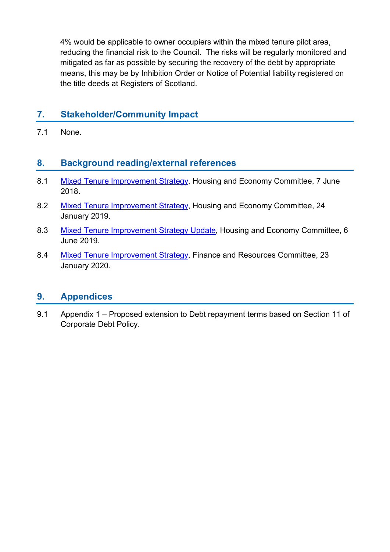4% would be applicable to owner occupiers within the mixed tenure pilot area, reducing the financial risk to the Council. The risks will be regularly monitored and mitigated as far as possible by securing the recovery of the debt by appropriate means, this may be by Inhibition Order or Notice of Potential liability registered on the title deeds at Registers of Scotland.

# **7. Stakeholder/Community Impact**

7.1 None.

#### **8. Background reading/external references**

- 8.1 [Mixed Tenure Improvement Strategy,](https://democracy.edinburgh.gov.uk/CeListDocuments.aspx?CommitteeId=287&MeetingId=2520&DF=07%2f06%2f2018&Ver=2) Housing and Economy Committee, 7 June 2018.
- 8.2 [Mixed Tenure Improvement Strategy,](https://democracy.edinburgh.gov.uk/CeListDocuments.aspx?CommitteeId=287&MeetingId=4953&DF=24%2f01%2f2019&Ver=2) Housing and Economy Committee, 24 January 2019.
- 8.3 [Mixed Tenure Improvement Strategy Update,](https://democracy.edinburgh.gov.uk/CeListDocuments.aspx?CommitteeId=287&MeetingId=4955&DF=06%2f06%2f2019&Ver=2) Housing and Economy Committee, 6 June 2019.
- 8.4 [Mixed Tenure Improvement Strategy,](https://democracy.edinburgh.gov.uk/ieListDocuments.aspx?CId=140&MId=348&Ver=4) Finance and Resources Committee, 23 January 2020.

#### **9. Appendices**

9.1 Appendix 1 – Proposed extension to Debt repayment terms based on Section 11 of Corporate Debt Policy.